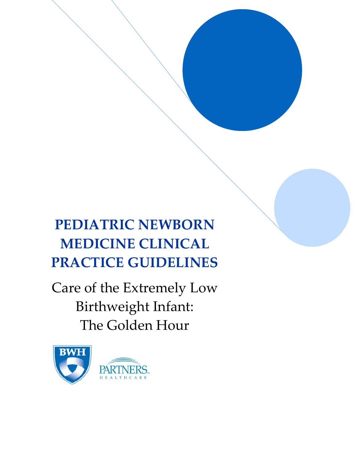# **PEDIATRIC NEWBORN MEDICINE CLINICAL PRACTICE GUIDELINES**

Care of the Extremely Low Birthweight Infant: The Golden Hour

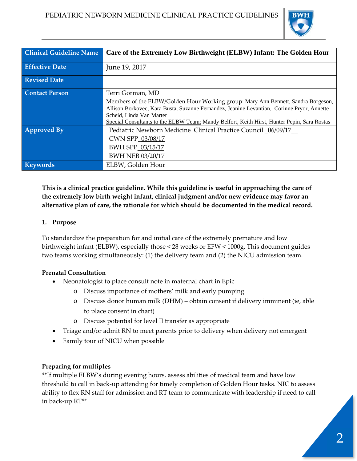

| <b>Clinical Guideline Name</b> | Care of the Extremely Low Birthweight (ELBW) Infant: The Golden Hour                        |
|--------------------------------|---------------------------------------------------------------------------------------------|
| <b>Effective Date</b>          | June 19, 2017                                                                               |
| <b>Revised Date</b>            |                                                                                             |
| <b>Contact Person</b>          | Terri Gorman, MD                                                                            |
|                                | Members of the ELBW/Golden Hour Working group: Mary Ann Bennett, Sandra Borgeson,           |
|                                | Allison Borkovec, Kara Busta, Suzanne Fernandez, Jeanine Levantian, Corinne Pryor, Annette  |
|                                | Scheid, Linda Van Marter                                                                    |
|                                | Special Consultants to the ELBW Team: Mandy Belfort, Keith Hirst, Hunter Pepin, Sara Rostas |
| <b>Approved By</b>             | Pediatric Newborn Medicine Clinical Practice Council 06/09/17                               |
|                                | CWN SPP 03/08/17                                                                            |
|                                | BWH SPP 03/15/17                                                                            |
|                                | BWH NEB 03/20/17                                                                            |
| <b>Keywords</b>                | ELBW, Golden Hour                                                                           |

**This is a clinical practice guideline. While this guideline is useful in approaching the care of the extremely low birth weight infant, clinical judgment and/or new evidence may favor an alternative plan of care, the rationale for which should be documented in the medical record.**

#### **1. Purpose**

To standardize the preparation for and initial care of the extremely premature and low birthweight infant (ELBW), especially those < 28 weeks or EFW < 1000g. This document guides two teams working simultaneously: (1) the delivery team and (2) the NICU admission team.

#### **Prenatal Consultation**

- Neonatologist to place consult note in maternal chart in Epic
	- o Discuss importance of mothers' milk and early pumping
	- o Discuss donor human milk (DHM) obtain consent if delivery imminent (ie, able to place consent in chart)
	- o Discuss potential for level II transfer as appropriate
- Triage and/or admit RN to meet parents prior to delivery when delivery not emergent
- Family tour of NICU when possible

#### **Preparing for multiples**

\*\*If multiple ELBW's during evening hours, assess abilities of medical team and have low threshold to call in back‐up attending for timely completion of Golden Hour tasks. NIC to assess ability to flex RN staff for admission and RT team to communicate with leadership if need to call in back‐up RT\*\*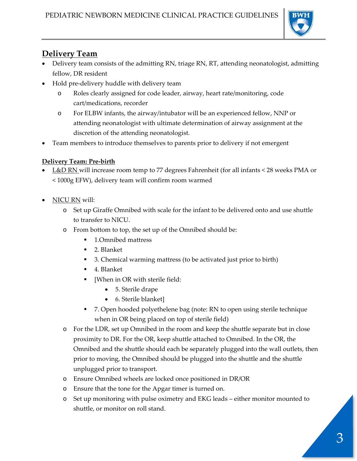

# **Delivery Team**

- Delivery team consists of the admitting RN, triage RN, RT, attending neonatologist, admitting fellow, DR resident
- Hold pre‐delivery huddle with delivery team
	- Roles clearly assigned for code leader, airway, heart rate/monitoring, code cart/medications, recorder
	- o For ELBW infants, the airway/intubator will be an experienced fellow, NNP or attending neonatologist with ultimate determination of airway assignment at the discretion of the attending neonatologist.
- Team members to introduce themselves to parents prior to delivery if not emergent

# **Delivery Team: Pre‐birth**

- L&D RN will increase room temp to 77 degrees Fahrenheit (for all infants < 28 weeks PMA or < 1000g EFW), delivery team will confirm room warmed
- NICU RN will:
	- o Set up Giraffe Omnibed with scale for the infant to be delivered onto and use shuttle to transfer to NICU.
	- o From bottom to top, the set up of the Omnibed should be:
		- 1.Omnibed mattress
		- 2. Blanket
		- 3. Chemical warming mattress (to be activated just prior to birth)
		- 4. Blanket
		- **•** [When in OR with sterile field:
			- 5. Sterile drape
			- 6. Sterile blanket]
		- 7. Open hooded polyethelene bag (note: RN to open using sterile technique when in OR being placed on top of sterile field)
	- o For the LDR, set up Omnibed in the room and keep the shuttle separate but in close proximity to DR. For the OR, keep shuttle attached to Omnibed. In the OR, the Omnibed and the shuttle should each be separately plugged into the wall outlets, then prior to moving, the Omnibed should be plugged into the shuttle and the shuttle unplugged prior to transport.
	- o Ensure Omnibed wheels are locked once positioned in DR/OR
	- o Ensure that the tone for the Apgar timer is turned on.
	- o Set up monitoring with pulse oximetry and EKG leads either monitor mounted to shuttle, or monitor on roll stand.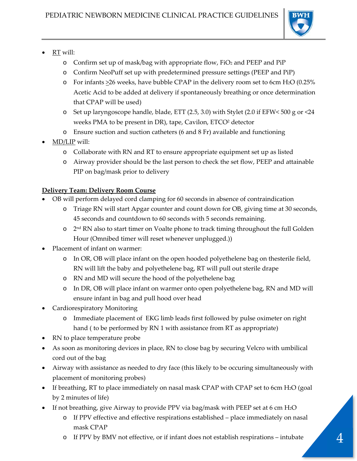

- RT will:
	- o Confirm set up of mask/bag with appropriate flow, FiO2 and PEEP and PiP
	- o Confirm NeoPuff set up with predetermined pressure settings (PEEP and PiP)
	- $\circ$  For infants  $\geq$ 26 weeks, have bubble CPAP in the delivery room set to 6cm H<sub>2</sub>O (0.25%) Acetic Acid to be added at delivery if spontaneously breathing or once determination that CPAP will be used)
	- $\circ$  Set up laryngoscope handle, blade, ETT (2.5, 3.0) with Stylet (2.0 if EFW < 500 g or <24 weeks PMA to be present in DR), tape, Cavilon, ETCO<sup>2</sup> detector
	- o Ensure suction and suction catheters (6 and 8 Fr) available and functioning
- MD/LIP will:
	- o Collaborate with RN and RT to ensure appropriate equipment set up as listed
	- o Airway provider should be the last person to check the set flow, PEEP and attainable PIP on bag/mask prior to delivery

# **Delivery Team: Delivery Room Course**

- OB will perform delayed cord clamping for 60 seconds in absence of contraindication
	- o Triage RN will start Apgar counter and count down for OB, giving time at 30 seconds, 45 seconds and countdown to 60 seconds with 5 seconds remaining.
	- o 2<sup>nd</sup> RN also to start timer on Voalte phone to track timing throughout the full Golden Hour (Omnibed timer will reset whenever unplugged.))
- Placement of infant on warmer:
	- o In OR, OB will place infant on the open hooded polyethelene bag on thesterile field, RN will lift the baby and polyethelene bag, RT will pull out sterile drape
	- o RN and MD will secure the hood of the polyethelene bag
	- o In DR, OB will place infant on warmer onto open polyethelene bag, RN and MD will ensure infant in bag and pull hood over head
- Cardiorespiratory Monitoring
	- o Immediate placement of EKG limb leads first followed by pulse oximeter on right hand ( to be performed by RN 1 with assistance from RT as appropriate)
- RN to place temperature probe
- As soon as monitoring devices in place, RN to close bag by securing Velcro with umbilical cord out of the bag
- Airway with assistance as needed to dry face (this likely to be occuring simultaneously with placement of monitoring probes)
- If breathing, RT to place immediately on nasal mask CPAP with CPAP set to 6cm H2O (goal by 2 minutes of life)
- If not breathing, give Airway to provide PPV via bag/mask with PEEP set at 6 cm H<sub>2</sub>O
	- o If PPV effective and effective respirations established place immediately on nasal mask CPAP
	- o If PPV by BMV not effective, or if infant does not establish respirations intubate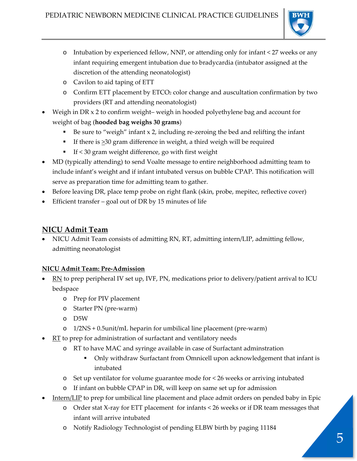

- o Intubation by experienced fellow, NNP, or attending only for infant < 27 weeks or any infant requiring emergent intubation due to bradycardia (intubator assigned at the discretion of the attending neonatologist)
- o Cavilon to aid taping of ETT
- o Confirm ETT placement by ETCO2 color change and auscultation confirmation by two providers (RT and attending neonatologist)
- Weigh in DR x 2 to confirm weight– weigh in hooded polyethylene bag and account for weight of bag (**hooded bag weighs 30 grams**)
	- Be sure to "weigh" infant  $x$  2, including re-zeroing the bed and relifting the infant
	- If there is  $\geq 30$  gram difference in weight, a third weigh will be required
	- If  $<30$  gram weight difference, go with first weight
- MD (typically attending) to send Voalte message to entire neighborhood admitting team to include infant's weight and if infant intubated versus on bubble CPAP. This notification will serve as preparation time for admitting team to gather.
- Before leaving DR, place temp probe on right flank (skin, probe, mepitec, reflective cover)
- Efficient transfer goal out of DR by 15 minutes of life

# **NICU Admit Team**

 NICU Admit Team consists of admitting RN, RT, admitting intern/LIP, admitting fellow, admitting neonatologist

## **NICU Admit Team: Pre‐Admission**

- $\blacksquare$  RN to prep peripheral IV set up, IVF, PN, medications prior to delivery/patient arrival to ICU bedspace
	- o Prep for PIV placement
	- o Starter PN (pre‐warm)
	- o D5W
	- o 1/2NS + 0.5unit/mL heparin for umbilical line placement (pre‐warm)
- $RT$  to prep for administration of surfactant and ventilatory needs
	- o RT to have MAC and syringe available in case of Surfactant adminstration
		- Only withdraw Surfactant from Omnicell upon acknowledgement that infant is intubated
	- o Set up ventilator for volume guarantee mode for < 26 weeks or arriving intubated
	- o If infant on bubble CPAP in DR, will keep on same set up for admission
- Intern/LIP to prep for umbilical line placement and place admit orders on pended baby in Epic
	- o Order stat X‐ray for ETT placement for infants < 26 weeks or if DR team messages that infant will arrive intubated
	- o Notify Radiology Technologist of pending ELBW birth by paging 11184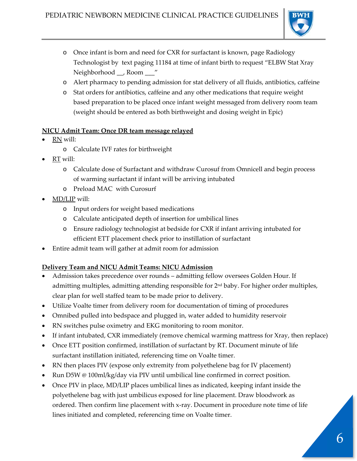

- o Once infant is born and need for CXR for surfactant is known, page Radiology Technologist by text paging 11184 at time of infant birth to request "ELBW Stat Xray Neighborhood \_\_, Room \_\_\_"
- o Alert pharmacy to pending admission for stat delivery of all fluids, antibiotics, caffeine
- o Stat orders for antibiotics, caffeine and any other medications that require weight based preparation to be placed once infant weight messaged from delivery room team (weight should be entered as both birthweight and dosing weight in Epic)

#### **NICU Admit Team: Once DR team message relayed**

- RN will:
	- o Calculate IVF rates for birthweight
- RT will:
	- o Calculate dose of Surfactant and withdraw Curosuf from Omnicell and begin process of warming surfactant if infant will be arriving intubated
	- o Preload MAC with Curosurf
- MD/LIP will:
	- o Input orders for weight based medications
	- o Calculate anticipated depth of insertion for umbilical lines
	- o Ensure radiology technologist at bedside for CXR if infant arriving intubated for efficient ETT placement check prior to instillation of surfactant
- Entire admit team will gather at admit room for admission

## **Delivery Team and NICU Admit Teams: NICU Admission**

- Admission takes precedence over rounds admitting fellow oversees Golden Hour. If admitting multiples, admitting attending responsible for 2<sup>nd</sup> baby. For higher order multiples, clear plan for well staffed team to be made prior to delivery.
- Utilize Voalte timer from delivery room for documentation of timing of procedures
- Omnibed pulled into bedspace and plugged in, water added to humidity reservoir
- RN switches pulse oximetry and EKG monitoring to room monitor.
- If infant intubated, CXR immediately (remove chemical warming mattress for Xray, then replace)
- Once ETT position confirmed, instillation of surfactant by RT. Document minute of life surfactant instillation initiated, referencing time on Voalte timer.
- RN then places PIV (expose only extremity from polyethelene bag for IV placement)
- Run D5W @ 100ml/kg/day via PIV until umbilical line confirmed in correct position.
- Once PIV in place, MD/LIP places umbilical lines as indicated, keeping infant inside the polyethelene bag with just umbilicus exposed for line placement. Draw bloodwork as ordered. Then confirm line placement with x‐ray. Document in procedure note time of life lines initiated and completed, referencing time on Voalte timer.